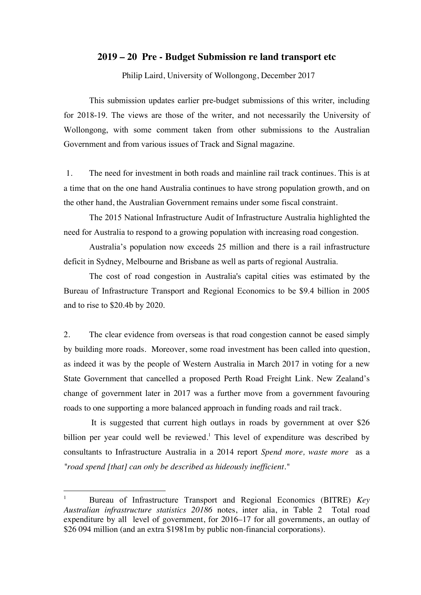# **2019 – 20 Pre - Budget Submission re land transport etc**

Philip Laird, University of Wollongong, December 2017

This submission updates earlier pre-budget submissions of this writer, including for 2018-19. The views are those of the writer, and not necessarily the University of Wollongong, with some comment taken from other submissions to the Australian Government and from various issues of Track and Signal magazine.

1. The need for investment in both roads and mainline rail track continues. This is at a time that on the one hand Australia continues to have strong population growth, and on the other hand, the Australian Government remains under some fiscal constraint.

The 2015 National Infrastructure Audit of Infrastructure Australia highlighted the need for Australia to respond to a growing population with increasing road congestion.

Australia's population now exceeds 25 million and there is a rail infrastructure deficit in Sydney, Melbourne and Brisbane as well as parts of regional Australia.

The cost of road congestion in Australia's capital cities was estimated by the Bureau of Infrastructure Transport and Regional Economics to be \$9.4 billion in 2005 and to rise to \$20.4b by 2020.

2. The clear evidence from overseas is that road congestion cannot be eased simply by building more roads. Moreover, some road investment has been called into question, as indeed it was by the people of Western Australia in March 2017 in voting for a new State Government that cancelled a proposed Perth Road Freight Link. New Zealand's change of government later in 2017 was a further move from a government favouring roads to one supporting a more balanced approach in funding roads and rail track.

It is suggested that current high outlays in roads by government at over \$26 billion per year could well be reviewed.<sup>1</sup> This level of expenditure was described by consultants to Infrastructure Australia in a 2014 report *Spend more, waste more* as a *"road spend [that] can only be described as hideously inefficient."*

<sup>&</sup>lt;sup>1</sup> Bureau of Infrastructure Transport and Regional Economics (BITRE) *Key Australian infrastructure statistics 20186* notes, inter alia, in Table 2 Total road expenditure by all level of government, for 2016–17 for all governments, an outlay of \$26 094 million (and an extra \$1981m by public non-financial corporations).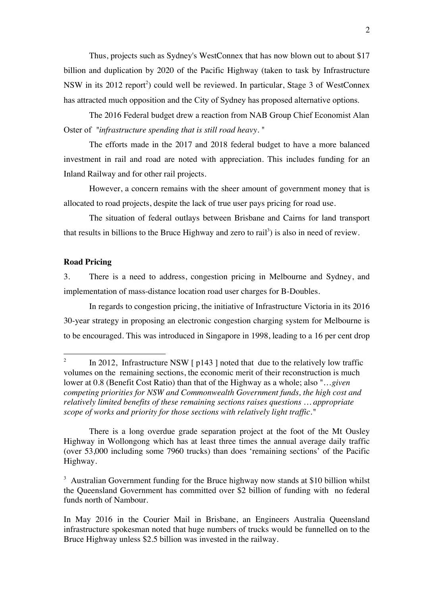Thus, projects such as Sydney's WestConnex that has now blown out to about \$17 billion and duplication by 2020 of the Pacific Highway (taken to task by Infrastructure NSW in its 2012 report<sup>2</sup>) could well be reviewed. In particular, Stage 3 of WestConnex has attracted much opposition and the City of Sydney has proposed alternative options.

The 2016 Federal budget drew a reaction from NAB Group Chief Economist Alan Oster of *"infrastructure spending that is still road heavy.* "

The efforts made in the 2017 and 2018 federal budget to have a more balanced investment in rail and road are noted with appreciation. This includes funding for an Inland Railway and for other rail projects.

However, a concern remains with the sheer amount of government money that is allocated to road projects, despite the lack of true user pays pricing for road use.

The situation of federal outlays between Brisbane and Cairns for land transport that results in billions to the Bruce Highway and zero to rail<sup>3</sup>) is also in need of review.

# **Road Pricing**

3. There is a need to address, congestion pricing in Melbourne and Sydney, and implementation of mass-distance location road user charges for B-Doubles.

In regards to congestion pricing, the initiative of Infrastructure Victoria in its 2016 30-year strategy in proposing an electronic congestion charging system for Melbourne is to be encouraged. This was introduced in Singapore in 1998, leading to a 16 per cent drop

There is a long overdue grade separation project at the foot of the Mt Ousley Highway in Wollongong which has at least three times the annual average daily traffic (over 53,000 including some 7960 trucks) than does 'remaining sections' of the Pacific Highway.

<sup>3</sup> Australian Government funding for the Bruce highway now stands at \$10 billion whilst the Queensland Government has committed over \$2 billion of funding with no federal funds north of Nambour.

In May 2016 in the Courier Mail in Brisbane, an Engineers Australia Queensland infrastructure spokesman noted that huge numbers of trucks would be funnelled on to the Bruce Highway unless \$2.5 billion was invested in the railway.

<sup>&</sup>lt;sup>2</sup> In 2012, Infrastructure NSW  $\lceil p143 \rceil$  noted that due to the relatively low traffic volumes on the remaining sections, the economic merit of their reconstruction is much lower at 0.8 (Benefit Cost Ratio) than that of the Highway as a whole; also "…*given competing priorities for NSW and Commonwealth Government funds, the high cost and relatively limited benefits of these remaining sections raises questions … appropriate scope of works and priority for those sections with relatively light traffic."*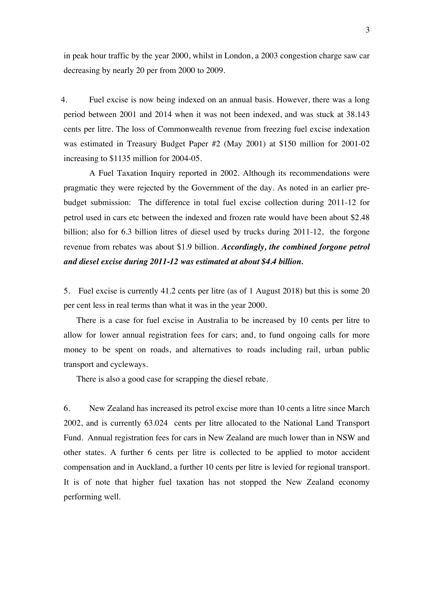in peak hour traffic by the year 2000, whilst in London, a 2003 congestion charge saw car decreasing by nearly 20 per from 2000 to 2009.

4. Fuel excise is now being indexed on an annual basis. However, there was a long period between 2001 and 2014 when it was not been indexed, and was stuck at 38.143 cents per litre. The loss of Commonwealth revenue from freezing fuel excise indexation was estimated in Treasury Budget Paper #2 (May 2001) at \$150 million for 2001-02 increasing to \$1135 million for 2004-05.

A Fuel Taxation Inquiry reported in 2002. Although its recommendations were pragmatic they were rejected by the Government of the day. As noted in an earlier prebudget submission: The difference in total fuel excise collection during 2011-12 for petrol used in cars etc between the indexed and frozen rate would have been about \$2.48 billion; also for 6.3 billion litres of diesel used by trucks during 2011-12, the forgone revenue from rebates was about \$1.9 billion. *Accordingly, the combined forgone petrol and diesel excise during 2011-12 was estimated at about \$4.4 billion.*

5. Fuel excise is currently 41.2 cents per litre (as of 1 August 2018) but this is some 20 per cent less in real terms than what it was in the year 2000.

There is a case for fuel excise in Australia to be increased by 10 cents per litre to allow for lower annual registration fees for cars; and, to fund ongoing calls for more money to be spent on roads, and alternatives to roads including rail, urban public transport and cycleways.

There is also a good case for scrapping the diesel rebate.

6. New Zealand has increased its petrol excise more than 10 cents a litre since March 2002, and is currently 63.024 cents per litre allocated to the National Land Transport Fund. Annual registration fees for cars in New Zealand are much lower than in NSW and other states. A further 6 cents per litre is collected to be applied to motor accident compensation and in Auckland, a further 10 cents per litre is levied for regional transport. It is of note that higher fuel taxation has not stopped the New Zealand economy performing well.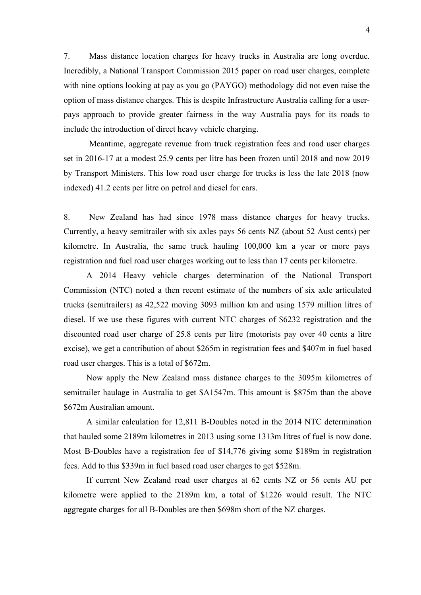7. Mass distance location charges for heavy trucks in Australia are long overdue. Incredibly, a National Transport Commission 2015 paper on road user charges, complete with nine options looking at pay as you go (PAYGO) methodology did not even raise the option of mass distance charges. This is despite Infrastructure Australia calling for a userpays approach to provide greater fairness in the way Australia pays for its roads to include the introduction of direct heavy vehicle charging.

Meantime, aggregate revenue from truck registration fees and road user charges set in 2016-17 at a modest 25.9 cents per litre has been frozen until 2018 and now 2019 by Transport Ministers. This low road user charge for trucks is less the late 2018 (now indexed) 41.2 cents per litre on petrol and diesel for cars.

8. New Zealand has had since 1978 mass distance charges for heavy trucks. Currently, a heavy semitrailer with six axles pays 56 cents NZ (about 52 Aust cents) per kilometre. In Australia, the same truck hauling 100,000 km a year or more pays registration and fuel road user charges working out to less than 17 cents per kilometre.

A 2014 Heavy vehicle charges determination of the National Transport Commission (NTC) noted a then recent estimate of the numbers of six axle articulated trucks (semitrailers) as 42,522 moving 3093 million km and using 1579 million litres of diesel. If we use these figures with current NTC charges of \$6232 registration and the discounted road user charge of 25.8 cents per litre (motorists pay over 40 cents a litre excise), we get a contribution of about \$265m in registration fees and \$407m in fuel based road user charges. This is a total of \$672m.

Now apply the New Zealand mass distance charges to the 3095m kilometres of semitrailer haulage in Australia to get \$A1547m. This amount is \$875m than the above \$672m Australian amount.

A similar calculation for 12,811 B-Doubles noted in the 2014 NTC determination that hauled some 2189m kilometres in 2013 using some 1313m litres of fuel is now done. Most B-Doubles have a registration fee of \$14,776 giving some \$189m in registration fees. Add to this \$339m in fuel based road user charges to get \$528m.

If current New Zealand road user charges at 62 cents NZ or 56 cents AU per kilometre were applied to the 2189m km, a total of \$1226 would result. The NTC aggregate charges for all B-Doubles are then \$698m short of the NZ charges.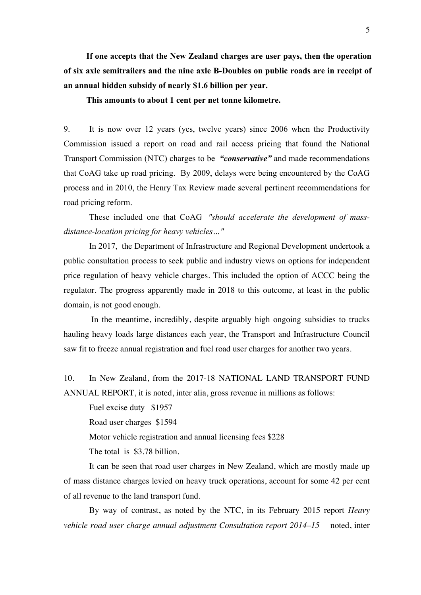**If one accepts that the New Zealand charges are user pays, then the operation of six axle semitrailers and the nine axle B-Doubles on public roads are in receipt of an annual hidden subsidy of nearly \$1.6 billion per year.** 

**This amounts to about 1 cent per net tonne kilometre.**

9. It is now over 12 years (yes, twelve years) since 2006 when the Productivity Commission issued a report on road and rail access pricing that found the National Transport Commission (NTC) charges to be *"conservative"* and made recommendations that CoAG take up road pricing. By 2009, delays were being encountered by the CoAG process and in 2010, the Henry Tax Review made several pertinent recommendations for road pricing reform.

These included one that CoAG *"should accelerate the development of massdistance-location pricing for heavy vehicles…"*

In 2017, the Department of Infrastructure and Regional Development undertook a public consultation process to seek public and industry views on options for independent price regulation of heavy vehicle charges. This included the option of ACCC being the regulator. The progress apparently made in 2018 to this outcome, at least in the public domain, is not good enough.

In the meantime, incredibly, despite arguably high ongoing subsidies to trucks hauling heavy loads large distances each year, the Transport and Infrastructure Council saw fit to freeze annual registration and fuel road user charges for another two years.

10. In New Zealand, from the 2017-18 NATIONAL LAND TRANSPORT FUND ANNUAL REPORT, it is noted, inter alia, gross revenue in millions as follows:

Fuel excise duty \$1957 Road user charges \$1594 Motor vehicle registration and annual licensing fees \$228 The total is \$3.78 billion.

It can be seen that road user charges in New Zealand, which are mostly made up of mass distance charges levied on heavy truck operations, account for some 42 per cent of all revenue to the land transport fund.

By way of contrast, as noted by the NTC, in its February 2015 report *Heavy vehicle road user charge annual adjustment Consultation report 2014–15* noted, inter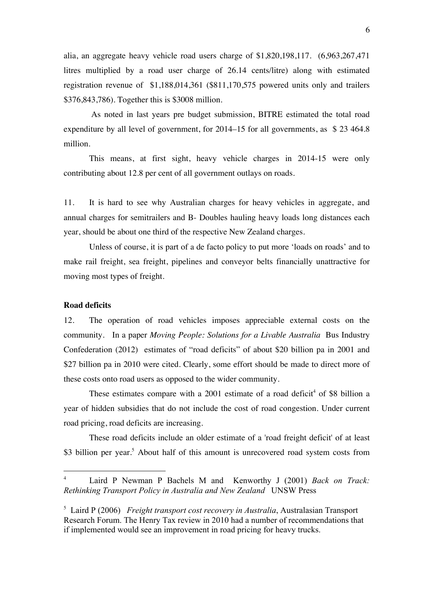alia, an aggregate heavy vehicle road users charge of \$1,820,198,117. (6,963,267,471 litres multiplied by a road user charge of 26.14 cents/litre) along with estimated registration revenue of \$1,188,014,361 (\$811,170,575 powered units only and trailers \$376,843,786). Together this is \$3008 million.

As noted in last years pre budget submission, BITRE estimated the total road expenditure by all level of government, for 2014–15 for all governments, as \$ 23 464.8 million.

This means, at first sight, heavy vehicle charges in 2014-15 were only contributing about 12.8 per cent of all government outlays on roads.

11. It is hard to see why Australian charges for heavy vehicles in aggregate, and annual charges for semitrailers and B- Doubles hauling heavy loads long distances each year, should be about one third of the respective New Zealand charges.

Unless of course, it is part of a de facto policy to put more 'loads on roads' and to make rail freight, sea freight, pipelines and conveyor belts financially unattractive for moving most types of freight.

# **Road deficits**

12. The operation of road vehicles imposes appreciable external costs on the community. In a paper *Moving People: Solutions for a Livable Australia* Bus Industry Confederation (2012) estimates of "road deficits" of about \$20 billion pa in 2001 and \$27 billion pa in 2010 were cited. Clearly, some effort should be made to direct more of these costs onto road users as opposed to the wider community.

These estimates compare with a 2001 estimate of a road deficit<sup>4</sup> of \$8 billion a year of hidden subsidies that do not include the cost of road congestion. Under current road pricing, road deficits are increasing.

These road deficits include an older estimate of a 'road freight deficit' of at least \$3 billion per year.<sup>5</sup> About half of this amount is unrecovered road system costs from

 <sup>4</sup> Laird P Newman P Bachels M and Kenworthy J (2001) *Back on Track: Rethinking Transport Policy in Australia and New Zealand* UNSW Press

<sup>5</sup> Laird P (2006) *Freight transport cost recovery in Australia*, Australasian Transport Research Forum. The Henry Tax review in 2010 had a number of recommendations that if implemented would see an improvement in road pricing for heavy trucks.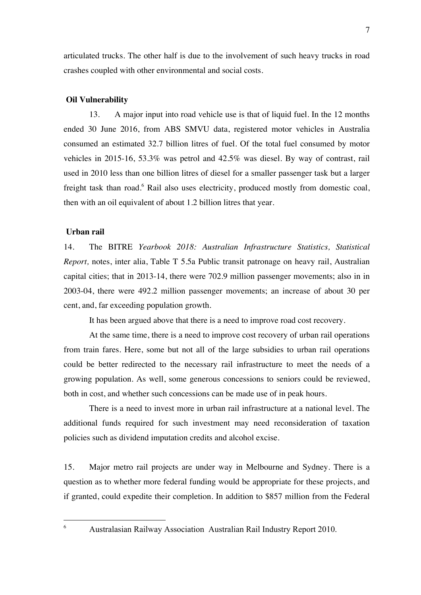articulated trucks. The other half is due to the involvement of such heavy trucks in road crashes coupled with other environmental and social costs.

## **Oil Vulnerability**

13. A major input into road vehicle use is that of liquid fuel. In the 12 months ended 30 June 2016, from ABS SMVU data, registered motor vehicles in Australia consumed an estimated 32.7 billion litres of fuel. Of the total fuel consumed by motor vehicles in 2015-16, 53.3% was petrol and 42.5% was diesel. By way of contrast, rail used in 2010 less than one billion litres of diesel for a smaller passenger task but a larger freight task than road.<sup>6</sup> Rail also uses electricity, produced mostly from domestic coal, then with an oil equivalent of about 1.2 billion litres that year.

### **Urban rail**

14. The BITRE *Yearbook 2018: Australian Infrastructure Statistics, Statistical Report,* notes, inter alia, Table T 5.5a Public transit patronage on heavy rail, Australian capital cities; that in 2013-14, there were 702.9 million passenger movements; also in in 2003-04, there were 492.2 million passenger movements; an increase of about 30 per cent, and, far exceeding population growth.

It has been argued above that there is a need to improve road cost recovery.

At the same time, there is a need to improve cost recovery of urban rail operations from train fares. Here, some but not all of the large subsidies to urban rail operations could be better redirected to the necessary rail infrastructure to meet the needs of a growing population. As well, some generous concessions to seniors could be reviewed, both in cost, and whether such concessions can be made use of in peak hours.

There is a need to invest more in urban rail infrastructure at a national level. The additional funds required for such investment may need reconsideration of taxation policies such as dividend imputation credits and alcohol excise.

15. Major metro rail projects are under way in Melbourne and Sydney. There is a question as to whether more federal funding would be appropriate for these projects, and if granted, could expedite their completion. In addition to \$857 million from the Federal

 <sup>6</sup> Australasian Railway Association Australian Rail Industry Report 2010.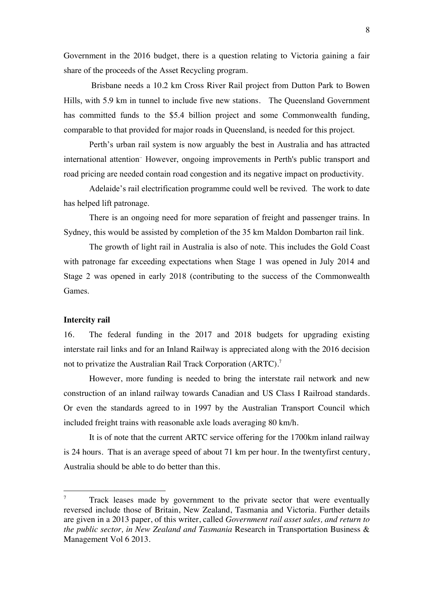Government in the 2016 budget, there is a question relating to Victoria gaining a fair share of the proceeds of the Asset Recycling program.

Brisbane needs a 10.2 km Cross River Rail project from Dutton Park to Bowen Hills, with 5.9 km in tunnel to include five new stations. The Queensland Government has committed funds to the \$5.4 billion project and some Commonwealth funding, comparable to that provided for major roads in Queensland, is needed for this project.

Perth's urban rail system is now arguably the best in Australia and has attracted international attention.. However, ongoing improvements in Perth's public transport and road pricing are needed contain road congestion and its negative impact on productivity.

Adelaide's rail electrification programme could well be revived. The work to date has helped lift patronage.

There is an ongoing need for more separation of freight and passenger trains. In Sydney, this would be assisted by completion of the 35 km Maldon Dombarton rail link.

The growth of light rail in Australia is also of note. This includes the Gold Coast with patronage far exceeding expectations when Stage 1 was opened in July 2014 and Stage 2 was opened in early 2018 (contributing to the success of the Commonwealth Games.

## **Intercity rail**

16. The federal funding in the 2017 and 2018 budgets for upgrading existing interstate rail links and for an Inland Railway is appreciated along with the 2016 decision not to privatize the Australian Rail Track Corporation (ARTC).<sup>7</sup>

However, more funding is needed to bring the interstate rail network and new construction of an inland railway towards Canadian and US Class I Railroad standards. Or even the standards agreed to in 1997 by the Australian Transport Council which included freight trains with reasonable axle loads averaging 80 km/h.

It is of note that the current ARTC service offering for the 1700km inland railway is 24 hours. That is an average speed of about 71 km per hour. In the twentyfirst century, Australia should be able to do better than this.

 $7$  Track leases made by government to the private sector that were eventually reversed include those of Britain, New Zealand, Tasmania and Victoria. Further details are given in a 2013 paper, of this writer, called *Government rail asset sales, and return to the public sector, in New Zealand and Tasmania* Research in Transportation Business & Management Vol 6 2013.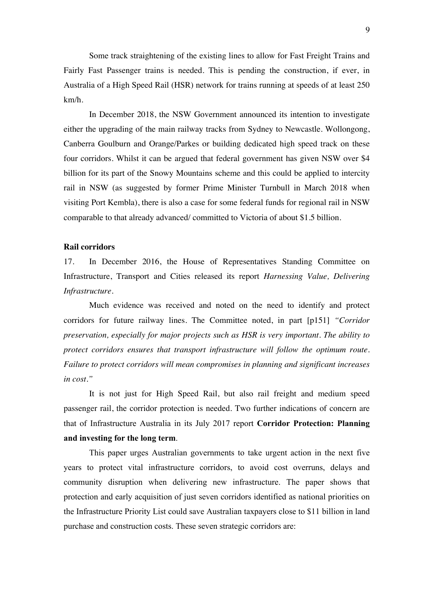Some track straightening of the existing lines to allow for Fast Freight Trains and Fairly Fast Passenger trains is needed. This is pending the construction, if ever, in Australia of a High Speed Rail (HSR) network for trains running at speeds of at least 250 km/h.

In December 2018, the NSW Government announced its intention to investigate either the upgrading of the main railway tracks from Sydney to Newcastle. Wollongong, Canberra Goulburn and Orange/Parkes or building dedicated high speed track on these four corridors. Whilst it can be argued that federal government has given NSW over \$4 billion for its part of the Snowy Mountains scheme and this could be applied to intercity rail in NSW (as suggested by former Prime Minister Turnbull in March 2018 when visiting Port Kembla), there is also a case for some federal funds for regional rail in NSW comparable to that already advanced/ committed to Victoria of about \$1.5 billion.

## **Rail corridors**

17. In December 2016, the House of Representatives Standing Committee on Infrastructure, Transport and Cities released its report *Harnessing Value, Delivering Infrastructure.* 

Much evidence was received and noted on the need to identify and protect corridors for future railway lines. The Committee noted, in part [p151] *"Corridor preservation, especially for major projects such as HSR is very important. The ability to protect corridors ensures that transport infrastructure will follow the optimum route. Failure to protect corridors will mean compromises in planning and significant increases in cost."*

It is not just for High Speed Rail, but also rail freight and medium speed passenger rail, the corridor protection is needed. Two further indications of concern are that of Infrastructure Australia in its July 2017 report **Corridor Protection: Planning and investing for the long term**.

This paper urges Australian governments to take urgent action in the next five years to protect vital infrastructure corridors, to avoid cost overruns, delays and community disruption when delivering new infrastructure. The paper shows that protection and early acquisition of just seven corridors identified as national priorities on the Infrastructure Priority List could save Australian taxpayers close to \$11 billion in land purchase and construction costs. These seven strategic corridors are: